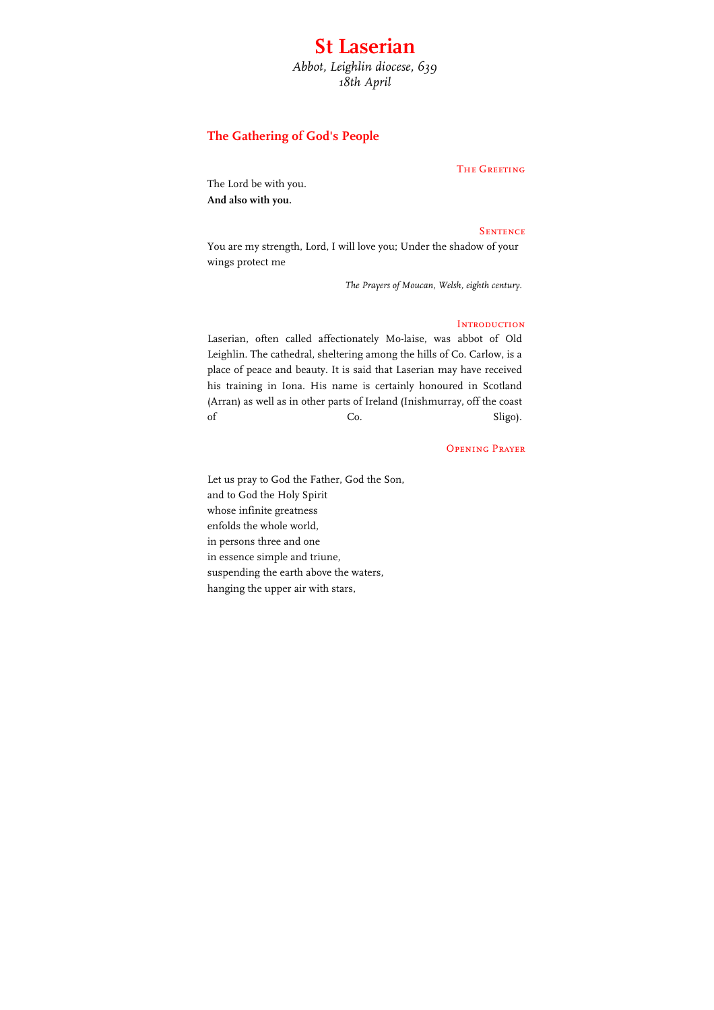# **St Laserian** *Abbot, Leighlin diocese, 639*

*18th April*

## **The Gathering of God's People**

### The Greeting

The Lord be with you. **And also with you.**

#### **SENTENCE**

You are my strength, Lord, I will love you; Under the shadow of your wings protect me

*The Prayers of Moucan, Welsh, eighth century.*

### **INTRODUCTION**

Laserian, often called affectionately Mo-laise, was abbot of Old Leighlin. The cathedral, sheltering among the hills of Co. Carlow, is a place of peace and beauty. It is said that Laserian may have received his training in Iona. His name is certainly honoured in Scotland (Arran) as well as in other parts of Ireland (Inishmurray, off the coast of Co. Co. Sligo).

#### Opening Prayer

Let us pray to God the Father, God the Son, and to God the Holy Spirit whose infinite greatness enfolds the whole world, in persons three and one in essence simple and triune, suspending the earth above the waters, hanging the upper air with stars,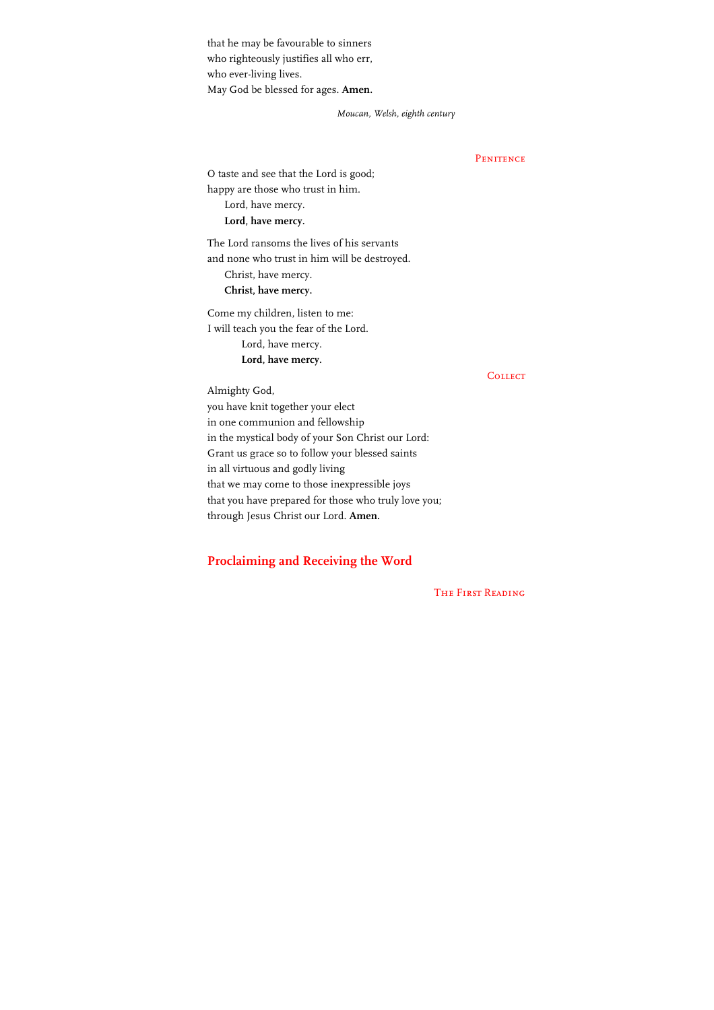that he may be favourable to sinners who righteously justifies all who err, who ever-living lives. May God be blessed for ages. **Amen.**

*Moucan, Welsh, eighth century*

**PENITENCE** 

O taste and see that the Lord is good; happy are those who trust in him. Lord, have mercy. **Lord, have mercy.**

The Lord ransoms the lives of his servants and none who trust in him will be destroyed. Christ, have mercy. **Christ, have mercy.**

Come my children, listen to me: I will teach you the fear of the Lord. Lord, have mercy. **Lord, have mercy.**

**COLLECT** 

Almighty God, you have knit together your elect in one communion and fellowship in the mystical body of your Son Christ our Lord: Grant us grace so to follow your blessed saints in all virtuous and godly living that we may come to those inexpressible joys that you have prepared for those who truly love you; through Jesus Christ our Lord. **Amen.**

### **Proclaiming and Receiving the Word**

The First Reading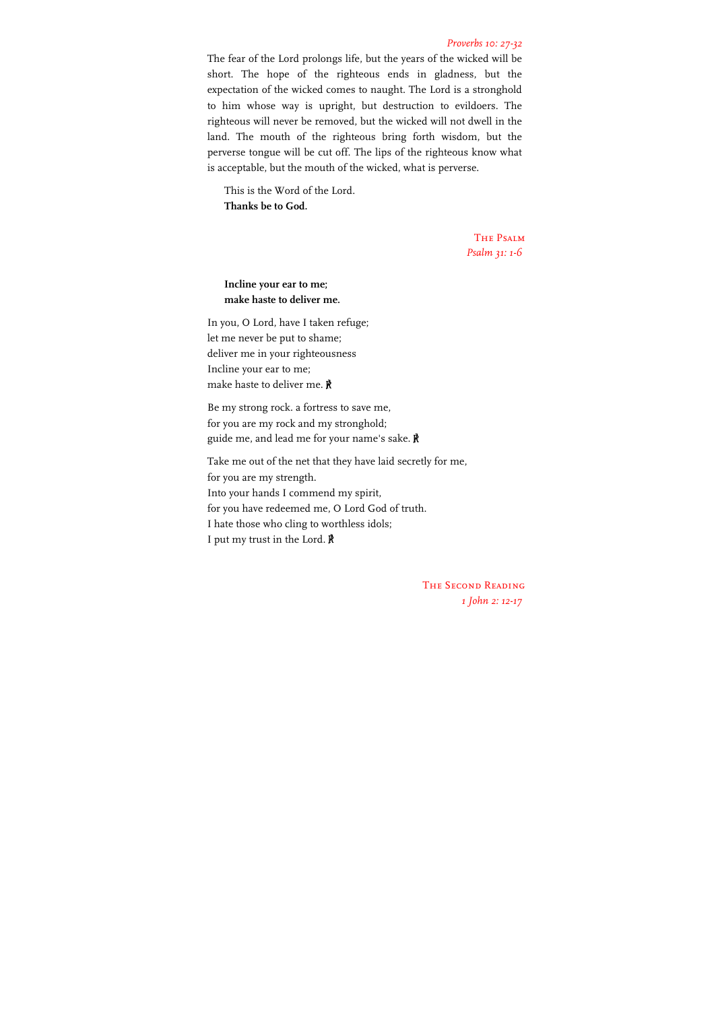#### *Proverbs 10: 27-32*

The fear of the Lord prolongs life, but the years of the wicked will be short. The hope of the righteous ends in gladness, but the expectation of the wicked comes to naught. The Lord is a stronghold to him whose way is upright, but destruction to evildoers. The righteous will never be removed, but the wicked will not dwell in the land. The mouth of the righteous bring forth wisdom, but the perverse tongue will be cut off. The lips of the righteous know what is acceptable, but the mouth of the wicked, what is perverse.

This is the Word of the Lord. **Thanks be to God.**

> The Psalm *Psalm 31: 1-6*

**Incline your ear to me; make haste to deliver me.**

In you, O Lord, have I taken refuge; let me never be put to shame; deliver me in your righteousness Incline your ear to me; make haste to deliver me. ℟

Be my strong rock. a fortress to save me, for you are my rock and my stronghold; guide me, and lead me for your name's sake. ℟

Take me out of the net that they have laid secretly for me, for you are my strength. Into your hands I commend my spirit, for you have redeemed me, O Lord God of truth. I hate those who cling to worthless idols; I put my trust in the Lord. ℟

> The Second Reading *1 John 2: 12-17*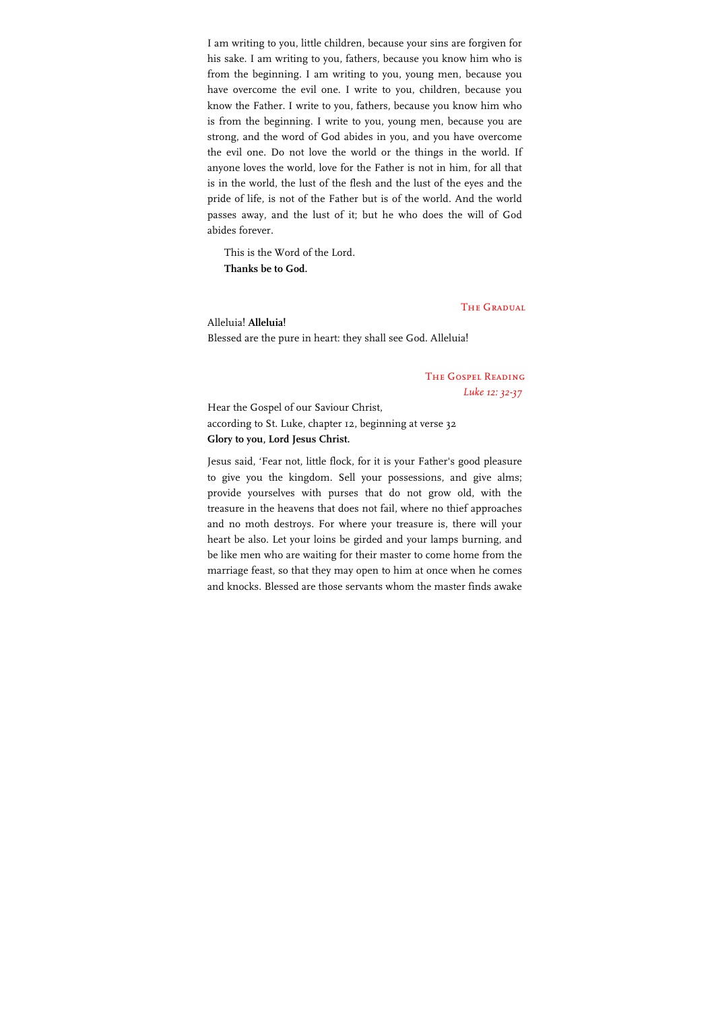I am writing to you, little children, because your sins are forgiven for his sake. I am writing to you, fathers, because you know him who is from the beginning. I am writing to you, young men, because you have overcome the evil one. I write to you, children, because you know the Father. I write to you, fathers, because you know him who is from the beginning. I write to you, young men, because you are strong, and the word of God abides in you, and you have overcome the evil one. Do not love the world or the things in the world. If anyone loves the world, love for the Father is not in him, for all that is in the world, the lust of the flesh and the lust of the eyes and the pride of life, is not of the Father but is of the world. And the world passes away, and the lust of it; but he who does the will of God abides forever.

This is the Word of the Lord. **Thanks be to God.**

### **THE GRADUAL**

Alleluia! **Alleluia!** Blessed are the pure in heart: they shall see God. Alleluia!

> The Gospel Reading *Luke 12: 32-37*

Hear the Gospel of our Saviour Christ, according to St. Luke, chapter 12, beginning at verse 32 **Glory to you, Lord Jesus Christ.**

Jesus said, 'Fear not, little flock, for it is your Father's good pleasure to give you the kingdom. Sell your possessions, and give alms; provide yourselves with purses that do not grow old, with the treasure in the heavens that does not fail, where no thief approaches and no moth destroys. For where your treasure is, there will your heart be also. Let your loins be girded and your lamps burning, and be like men who are waiting for their master to come home from the marriage feast, so that they may open to him at once when he comes and knocks. Blessed are those servants whom the master finds awake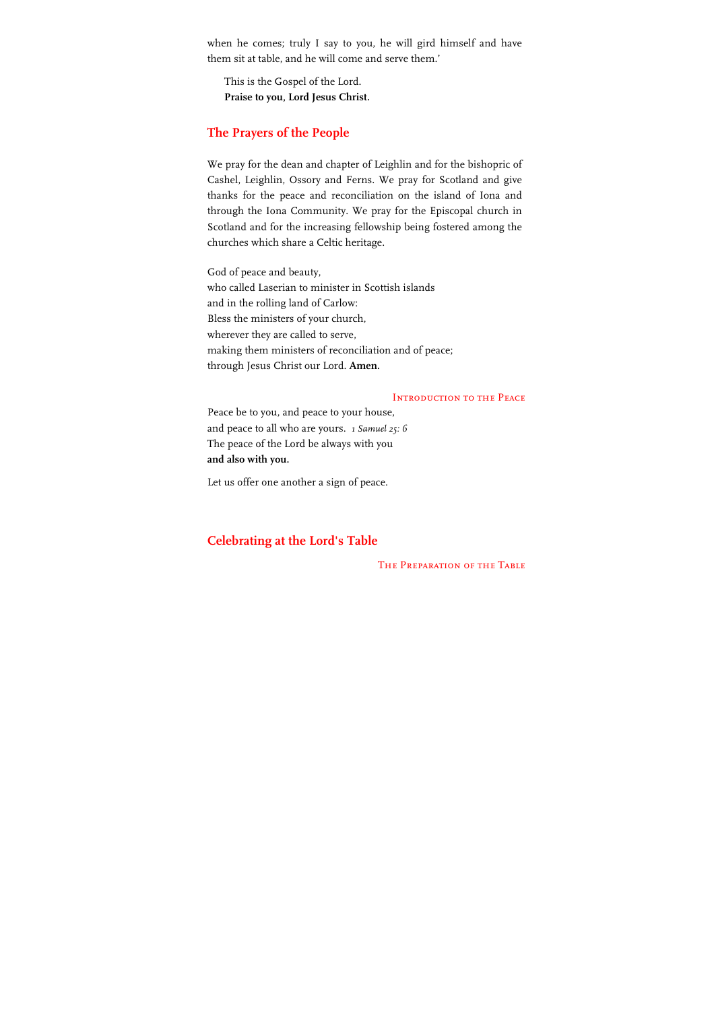when he comes; truly I say to you, he will gird himself and have them sit at table, and he will come and serve them.'

This is the Gospel of the Lord. **Praise to you, Lord Jesus Christ.**

### **The Prayers of the People**

We pray for the dean and chapter of Leighlin and for the bishopric of Cashel, Leighlin, Ossory and Ferns. We pray for Scotland and give thanks for the peace and reconciliation on the island of Iona and through the Iona Community. We pray for the Episcopal church in Scotland and for the increasing fellowship being fostered among the churches which share a Celtic heritage.

God of peace and beauty, who called Laserian to minister in Scottish islands and in the rolling land of Carlow: Bless the ministers of your church, wherever they are called to serve, making them ministers of reconciliation and of peace; through Jesus Christ our Lord. **Amen.**

#### INTRODUCTION TO THE PEACE

Peace be to you, and peace to your house, and peace to all who are yours. *1 Samuel 25: 6* The peace of the Lord be always with you **and also with you.**

Let us offer one another a sign of peace.

### **Celebrating at the Lord's Table**

The Preparation of the Table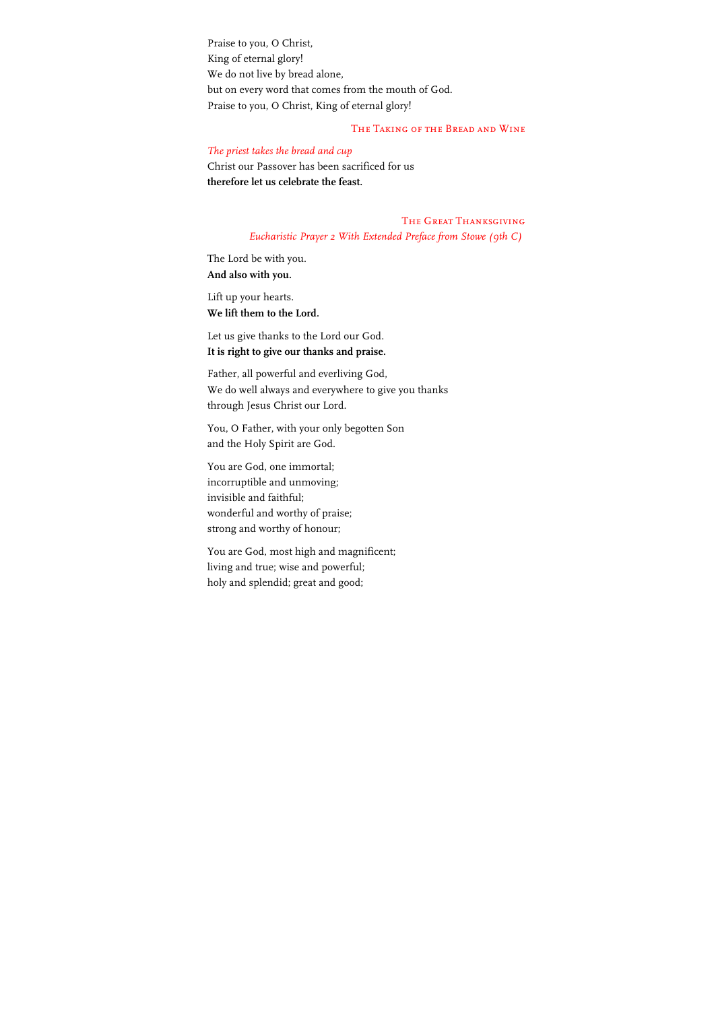Praise to you, O Christ, King of eternal glory! We do not live by bread alone, but on every word that comes from the mouth of God. Praise to you, O Christ, King of eternal glory!

### The Taking of the Bread and Wine

### *The priest takes the bread and cup*

Christ our Passover has been sacrificed for us **therefore let us celebrate the feast.**

> The Great Thanksgiving *Eucharistic Prayer 2 With Extended Preface from Stowe (9th C)*

The Lord be with you. **And also with you.**

Lift up your hearts. **We lift them to the Lord.**

Let us give thanks to the Lord our God. **It is right to give our thanks and praise.**

Father, all powerful and everliving God, We do well always and everywhere to give you thanks through Jesus Christ our Lord.

You, O Father, with your only begotten Son and the Holy Spirit are God.

You are God, one immortal; incorruptible and unmoving; invisible and faithful; wonderful and worthy of praise; strong and worthy of honour;

You are God, most high and magnificent; living and true; wise and powerful; holy and splendid; great and good;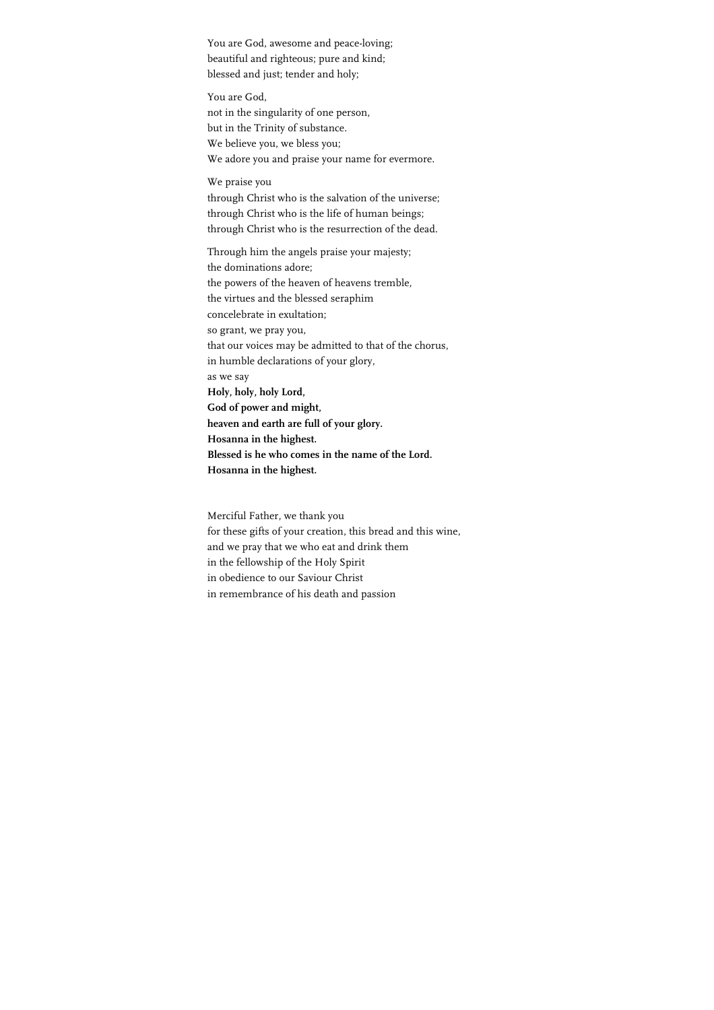You are God, awesome and peace-loving; beautiful and righteous; pure and kind; blessed and just; tender and holy;

You are God, not in the singularity of one person, but in the Trinity of substance. We believe you, we bless you; We adore you and praise your name for evermore.

We praise you through Christ who is the salvation of the universe; through Christ who is the life of human beings; through Christ who is the resurrection of the dead.

Through him the angels praise your majesty; the dominations adore; the powers of the heaven of heavens tremble, the virtues and the blessed seraphim concelebrate in exultation; so grant, we pray you, that our voices may be admitted to that of the chorus, in humble declarations of your glory, as we say **Holy, holy, holy Lord, God of power and might, heaven and earth are full of your glory. Hosanna in the highest. Blessed is he who comes in the name of the Lord. Hosanna in the highest.**

Merciful Father, we thank you for these gifts of your creation, this bread and this wine, and we pray that we who eat and drink them in the fellowship of the Holy Spirit in obedience to our Saviour Christ in remembrance of his death and passion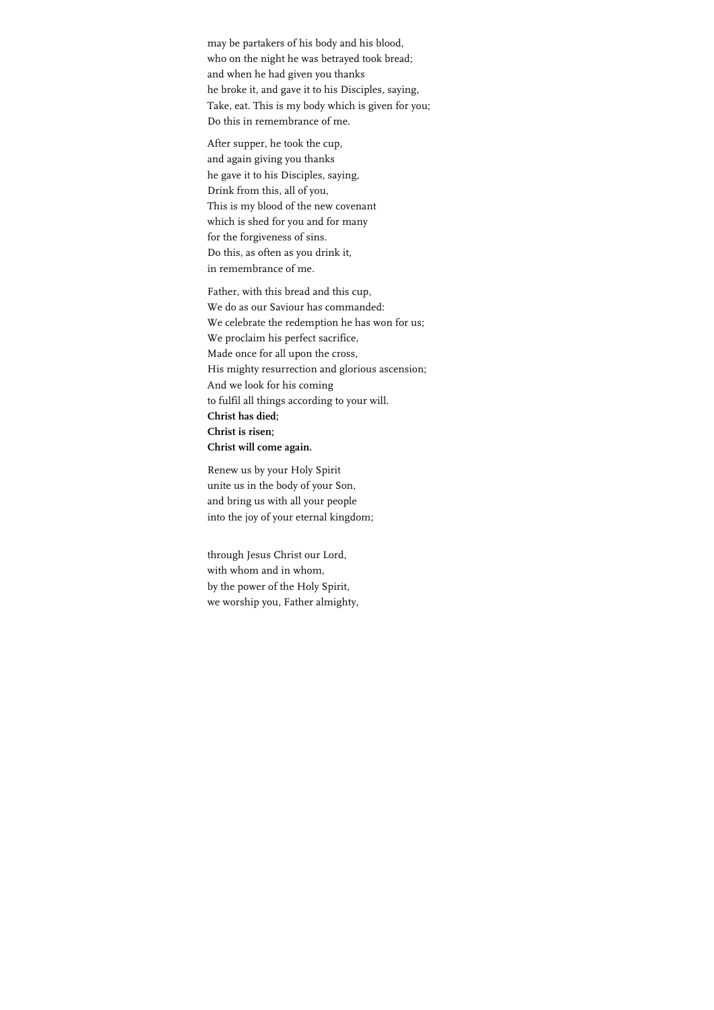may be partakers of his body and his blood, who on the night he was betrayed took bread; and when he had given you thanks he broke it, and gave it to his Disciples, saying, Take, eat. This is my body which is given for you; Do this in remembrance of me.

After supper, he took the cup, and again giving you thanks he gave it to his Disciples, saying, Drink from this, all of you, This is my blood of the new covenant which is shed for you and for many for the forgiveness of sins. Do this, as often as you drink it, in remembrance of me.

Father, with this bread and this cup, We do as our Saviour has commanded: We celebrate the redemption he has won for us; We proclaim his perfect sacrifice, Made once for all upon the cross, His mighty resurrection and glorious ascension; And we look for his coming to fulfil all things according to your will. **Christ has died; Christ is risen; Christ will come again.**

Renew us by your Holy Spirit unite us in the body of your Son, and bring us with all your people into the joy of your eternal kingdom;

through Jesus Christ our Lord, with whom and in whom, by the power of the Holy Spirit, we worship you, Father almighty,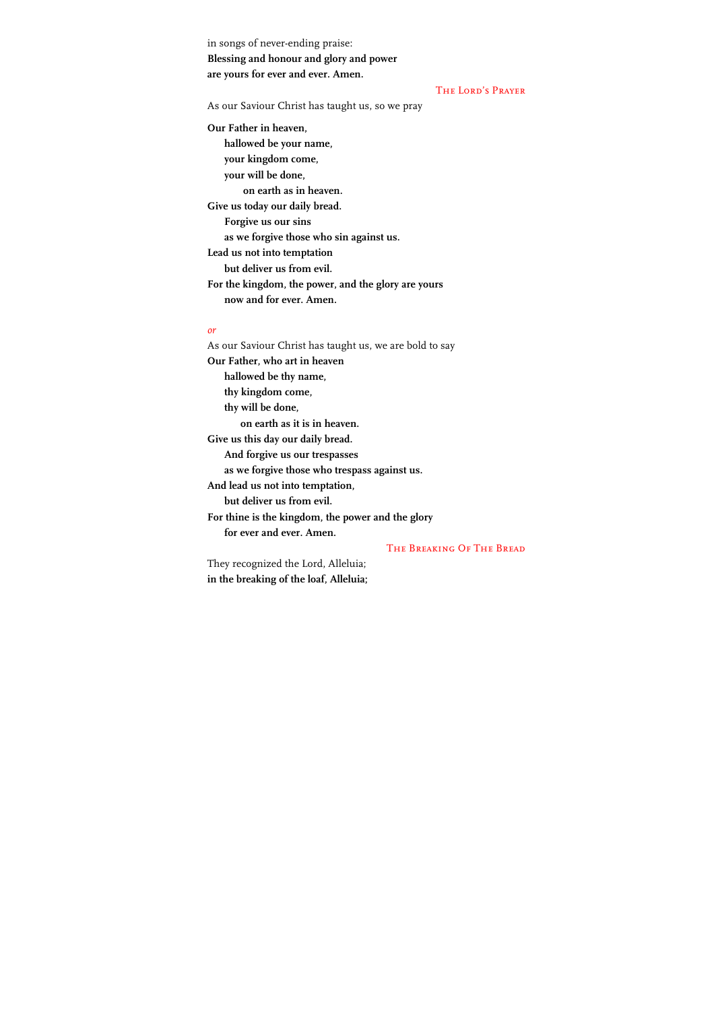in songs of never-ending praise: **Blessing and honour and glory and power are yours for ever and ever. Amen.**

The Lord's Prayer

As our Saviour Christ has taught us, so we pray

**Our Father in heaven, hallowed be your name, your kingdom come, your will be done, on earth as in heaven. Give us today our daily bread. Forgive us our sins as we forgive those who sin against us. Lead us not into temptation but deliver us from evil. For the kingdom, the power, and the glory are yours now and for ever. Amen.**

#### *or*

As our Saviour Christ has taught us, we are bold to say **Our Father, who art in heaven hallowed be thy name, thy kingdom come, thy will be done, on earth as it is in heaven. Give us this day our daily bread. And forgive us our trespasses as we forgive those who trespass against us. And lead us not into temptation, but deliver us from evil. For thine is the kingdom, the power and the glory for ever and ever. Amen.** The Breaking Of The Bread

They recognized the Lord, Alleluia; **in the breaking of the loaf, Alleluia;**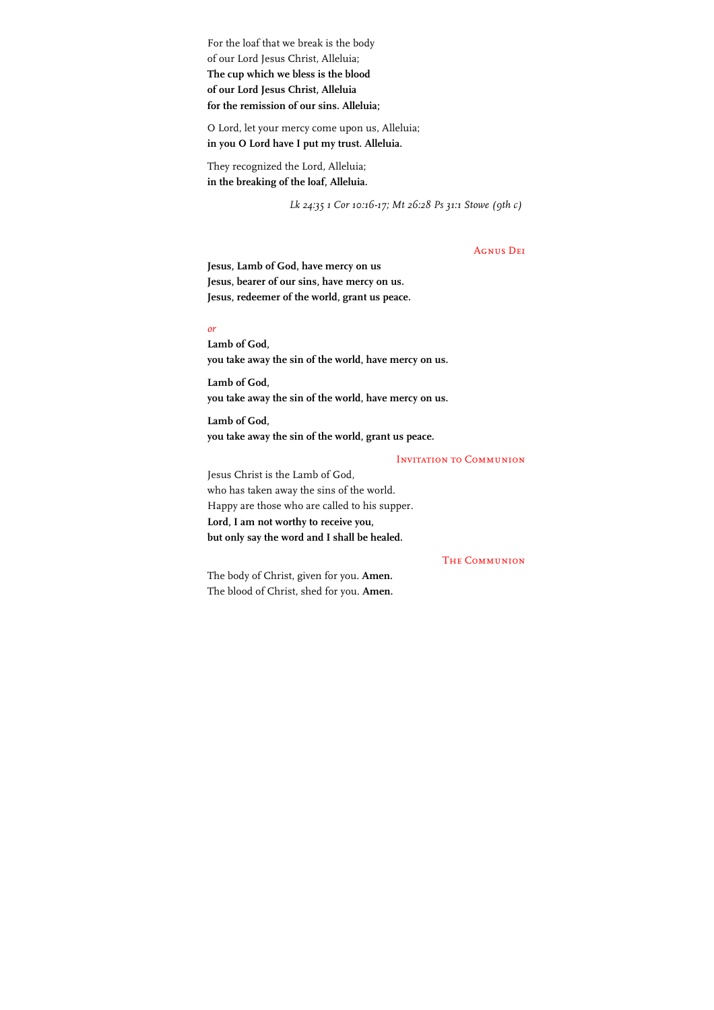For the loaf that we break is the body of our Lord Jesus Christ, Alleluia; **The cup which we bless is the blood of our Lord Jesus Christ, Alleluia for the remission of our sins. Alleluia;**

O Lord, let your mercy come upon us, Alleluia; **in you O Lord have I put my trust. Alleluia.**

They recognized the Lord, Alleluia; **in the breaking of the loaf, Alleluia.**

*Lk 24:35 1 Cor 10:16-17; Mt 26:28 Ps 31:1 Stowe (9th c)*

### Agnus Dei

**Jesus, Lamb of God, have mercy on us Jesus, bearer of our sins, have mercy on us. Jesus, redeemer of the world, grant us peace.**

#### *or*

**Lamb of God, you take away the sin of the world, have mercy on us.**

**Lamb of God, you take away the sin of the world, have mercy on us.**

**Lamb of God, you take away the sin of the world, grant us peace.**

#### Invitation to Communion

Jesus Christ is the Lamb of God, who has taken away the sins of the world. Happy are those who are called to his supper. **Lord, I am not worthy to receive you, but only say the word and I shall be healed.**

### **THE COMMUNION**

The body of Christ, given for you. **Amen.** The blood of Christ, shed for you. **Amen.**